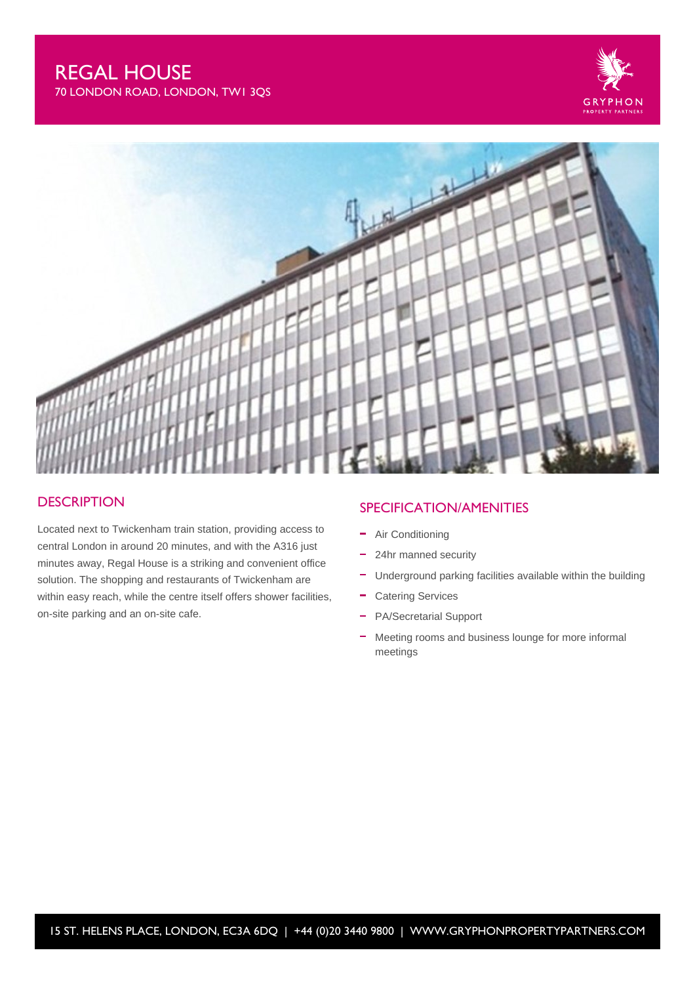# REGAL HOUSE

70 LONDON ROAD, LONDON, TW1 3QS





### **DESCRIPTION**

Located next to Twickenham train station, providing access to central London in around 20 minutes, and with the A316 just minutes away, Regal House is a striking and convenient office solution. The shopping and restaurants of Twickenham are within easy reach, while the centre itself offers shower facilities, on-site parking and an on-site cafe.

## SPECIFICATION/AMENITIES

- Air Conditioning
- $\equiv$ 24hr manned security
- Underground parking facilities available within the building
- Catering Services
- PA/Secretarial Support  $\equiv$
- L. Meeting rooms and business lounge for more informal meetings